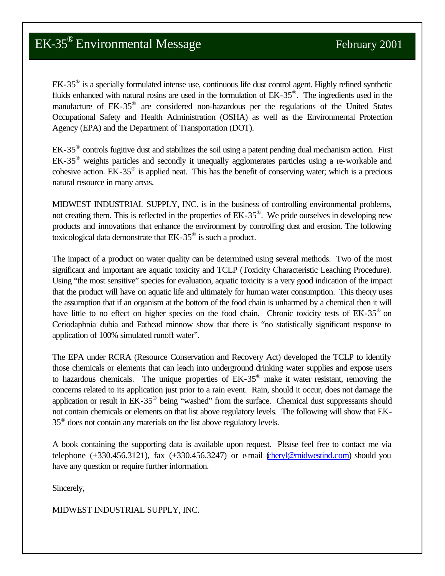EK-35<sup>®</sup> is a specially formulated intense use, continuous life dust control agent. Highly refined synthetic fluids enhanced with natural rosins are used in the formulation of EK-35<sup>®</sup>. The ingredients used in the manufacture of EK-35<sup>®</sup> are considered non-hazardous per the regulations of the United States Occupational Safety and Health Administration (OSHA) as well as the Environmental Protection Agency (EPA) and the Department of Transportation (DOT).

EK-35<sup>®</sup> controls fugitive dust and stabilizes the soil using a patent pending dual mechanism action. First EK-35<sup>®</sup> weights particles and secondly it unequally agglomerates particles using a re-workable and cohesive action.  $EK-35^\circ$  is applied neat. This has the benefit of conserving water; which is a precious natural resource in many areas.

MIDWEST INDUSTRIAL SUPPLY, INC. is in the business of controlling environmental problems, not creating them. This is reflected in the properties of EK-35<sup>®</sup>. We pride ourselves in developing new products and innovations that enhance the environment by controlling dust and erosion. The following toxicological data demonstrate that  $EK$ -35 $^{\circledast}$  is such a product.

The impact of a product on water quality can be determined using several methods. Two of the most significant and important are aquatic toxicity and TCLP (Toxicity Characteristic Leaching Procedure). Using "the most sensitive" species for evaluation, aquatic toxicity is a very good indication of the impact that the product will have on aquatic life and ultimately for human water consumption. This theory uses the assumption that if an organism at the bottom of the food chain is unharmed by a chemical then it will have little to no effect on higher species on the food chain. Chronic toxicity tests of EK-35<sup>®</sup> on Ceriodaphnia dubia and Fathead minnow show that there is "no statistically significant response to application of 100% simulated runoff water".

The EPA under RCRA (Resource Conservation and Recovery Act) developed the TCLP to identify those chemicals or elements that can leach into underground drinking water supplies and expose users to hazardous chemicals. The unique properties of  $EK-35^\circ$  make it water resistant, removing the concerns related to its application just prior to a rain event. Rain, should it occur, does not damage the application or result in EK-35<sup>®</sup> being "washed" from the surface. Chemical dust suppressants should not contain chemicals or elements on that list above regulatory levels. The following will show that EK-35<sup>®</sup> does not contain any materials on the list above regulatory levels.

A book containing the supporting data is available upon request. Please feel free to contact me via telephone  $(+330.456.3121)$ , fax  $(+330.456.3247)$  or e-mail (cheryl@midwestind.com) should you have any question or require further information.

Sincerely,

MIDWEST INDUSTRIAL SUPPLY, INC.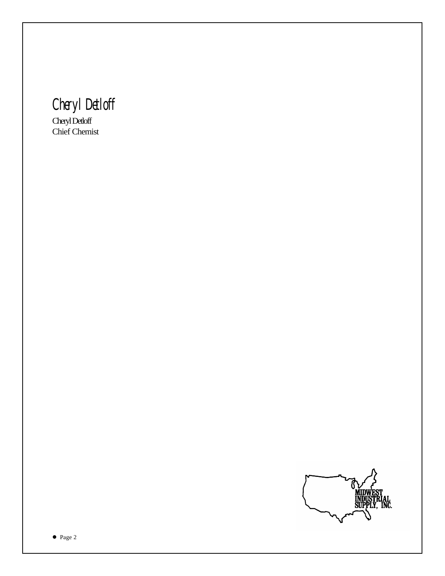*Cheryl Detloff*

Cheryl Detloff Chief Chemist

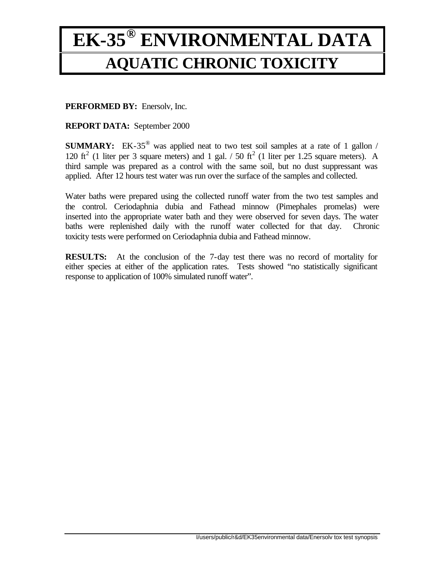## **EK-35® ENVIRONMENTAL DATA AQUATIC CHRONIC TOXICITY**

**PERFORMED BY:** Enersolv, Inc.

**REPORT DATA:** September 2000

**SUMMARY:** EK-35<sup>®</sup> was applied neat to two test soil samples at a rate of 1 gallon / 120 ft<sup>2</sup> (1 liter per 3 square meters) and 1 gal.  $/ 50$  ft<sup>2</sup> (1 liter per 1.25 square meters). A third sample was prepared as a control with the same soil, but no dust suppressant was applied. After 12 hours test water was run over the surface of the samples and collected.

Water baths were prepared using the collected runoff water from the two test samples and the control. Ceriodaphnia dubia and Fathead minnow (Pimephales promelas) were inserted into the appropriate water bath and they were observed for seven days. The water baths were replenished daily with the runoff water collected for that day. Chronic toxicity tests were performed on Ceriodaphnia dubia and Fathead minnow.

**RESULTS:** At the conclusion of the 7-day test there was no record of mortality for either species at either of the application rates. Tests showed "no statistically significant response to application of 100% simulated runoff water".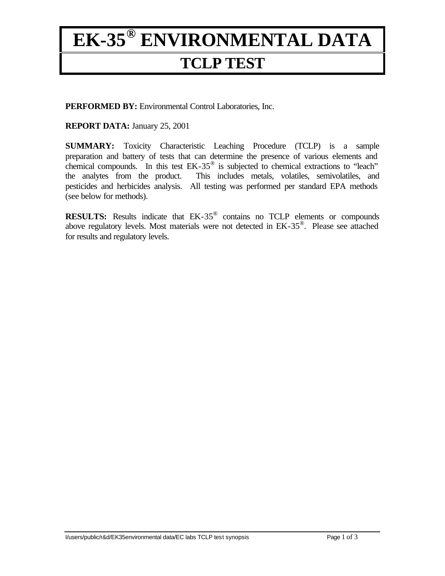### **EK-35® ENVIRONMENTAL DATA TCLP TEST**

**PERFORMED BY:** Environmental Control Laboratories, Inc.

**REPORT DATA:** January 25, 2001

**SUMMARY:** Toxicity Characteristic Leaching Procedure (TCLP) is a sample preparation and battery of tests that can determine the presence of various elements and chemical compounds. In this test EK-35® is subjected to chemical extractions to "leach" the analytes from the product. This includes metals, volatiles, semivolatiles, and pesticides and herbicides analysis. All testing was performed per standard EPA methods (see below for methods).

**RESULTS:** Results indicate that EK-35® contains no TCLP elements or compounds above regulatory levels. Most materials were not detected in EK-35® . Please see attached for results and regulatory levels.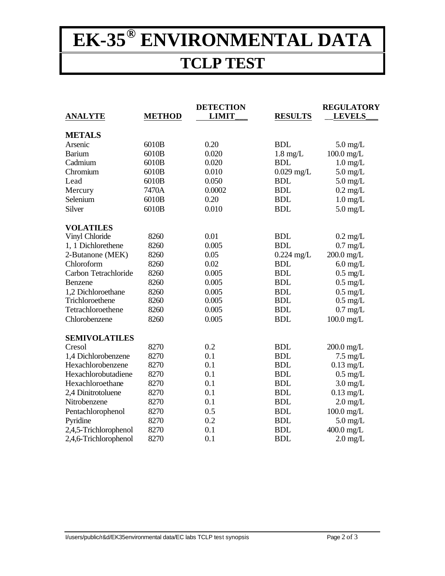# **EK-35® ENVIRONMENTAL DATA**

#### **TCLP TEST**

|                       |               | <b>DETECTION</b> |                    | <b>REGULATORY</b>  |
|-----------------------|---------------|------------------|--------------------|--------------------|
| <b>ANALYTE</b>        | <b>METHOD</b> | <b>LIMIT</b>     | <b>RESULTS</b>     | <b>LEVELS</b>      |
| <b>METALS</b>         |               |                  |                    |                    |
| Arsenic               | 6010B         | 0.20             | <b>BDL</b>         | $5.0 \text{ mg/L}$ |
| <b>Barium</b>         | 6010B         | 0.020            | $1.8 \text{ mg/L}$ | $100.0$ mg/L       |
| Cadmium               | 6010B         | 0.020            | <b>BDL</b>         | $1.0 \text{ mg/L}$ |
| Chromium              | 6010B         | 0.010            | $0.029$ mg/L       | $5.0 \text{ mg/L}$ |
| Lead                  | 6010B         | 0.050            | <b>BDL</b>         | $5.0 \text{ mg/L}$ |
| Mercury               | 7470A         | 0.0002           | <b>BDL</b>         | $0.2 \text{ mg/L}$ |
| Selenium              | 6010B         | 0.20             | <b>BDL</b>         | $1.0 \text{ mg/L}$ |
| Silver                | 6010B         | 0.010            | <b>BDL</b>         | $5.0$ mg/L         |
| <b>VOLATILES</b>      |               |                  |                    |                    |
| Vinyl Chloride        | 8260          | 0.01             | <b>BDL</b>         | $0.2 \text{ mg/L}$ |
| 1, 1 Dichlorethene    | 8260          | 0.005            | <b>BDL</b>         | $0.7 \text{ mg/L}$ |
| 2-Butanone (MEK)      | 8260          | 0.05             | $0.224$ mg/L       | $200.0$ mg/L       |
| Chloroform            | 8260          | 0.02             | <b>BDL</b>         | $6.0$ mg/L         |
| Carbon Tetrachloride  | 8260          | 0.005            | <b>BDL</b>         | $0.5$ mg/L         |
| Benzene               | 8260          | 0.005            | <b>BDL</b>         | $0.5 \text{ mg/L}$ |
| 1,2 Dichloroethane    | 8260          | 0.005            | <b>BDL</b>         | $0.5 \text{ mg/L}$ |
| Trichloroethene       | 8260          | 0.005            | <b>BDL</b>         | $0.5 \text{ mg/L}$ |
| Tetrachloroethene     | 8260          | 0.005            | <b>BDL</b>         | $0.7$ mg/L         |
| Chlorobenzene         | 8260          | 0.005            | <b>BDL</b>         | $100.0$ mg/L       |
| <b>SEMIVOLATILES</b>  |               |                  |                    |                    |
| Cresol                | 8270          | 0.2              | <b>BDL</b>         | $200.0$ mg/L       |
| 1,4 Dichlorobenzene   | 8270          | 0.1              | <b>BDL</b>         | $7.5 \text{ mg/L}$ |
| Hexachlorobenzene     | 8270          | 0.1              | <b>BDL</b>         | $0.13$ mg/L        |
| Hexachlorobutadiene   | 8270          | 0.1              | <b>BDL</b>         | $0.5 \text{ mg/L}$ |
| Hexachloroethane      | 8270          | 0.1              | <b>BDL</b>         | $3.0 \text{ mg/L}$ |
| 2,4 Dinitrotoluene    | 8270          | 0.1              | <b>BDL</b>         | $0.13$ mg/L        |
| Nitrobenzene          | 8270          | 0.1              | <b>BDL</b>         | $2.0 \text{ mg/L}$ |
| Pentachlorophenol     | 8270          | 0.5              | <b>BDL</b>         | $100.0$ mg/L       |
| Pyridine              | 8270          | 0.2              | <b>BDL</b>         | $5.0$ mg/L         |
| 2,4,5-Trichlorophenol | 8270          | 0.1              | <b>BDL</b>         | $400.0$ mg/L       |
| 2,4,6-Trichlorophenol | 8270          | 0.1              | <b>BDL</b>         | $2.0 \text{ mg/L}$ |